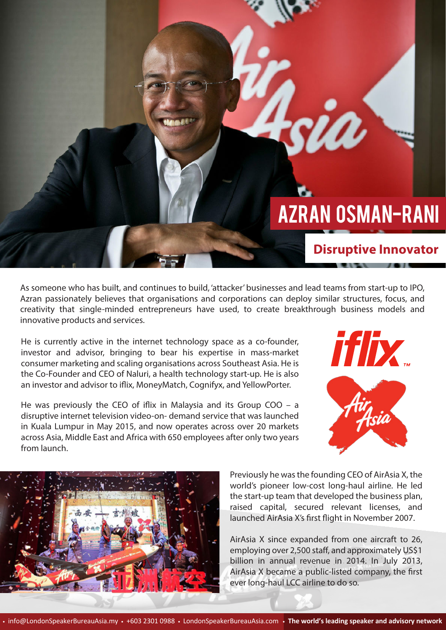

Ú

**Disruptive Innovator**

As someone who has built, and continues to build, 'attacker' businesses and lead teams from start-up to IPO, Azran passionately believes that organisations and corporations can deploy similar structures, focus, and creativity that single-minded entrepreneurs have used, to create breakthrough business models and innovative products and services.

He is currently active in the internet technology space as a co-founder, investor and advisor, bringing to bear his expertise in mass-market consumer marketing and scaling organisations across Southeast Asia. He is the Co-Founder and CEO of Naluri, a health technology start-up. He is also an investor and advisor to iflix, MoneyMatch, Cognifyx, and YellowPorter.

He was previously the CEO of iflix in Malaysia and its Group COO  $-$  a disruptive internet television video-on- demand service that was launched in Kuala Lumpur in May 2015, and now operates across over 20 markets across Asia, Middle East and Africa with 650 employees after only two years from launch.





Previously he was the founding CEO of AirAsia X, the world's pioneer low-cost long-haul airline. He led the start-up team that developed the business plan, raised capital, secured relevant licenses, and launched AirAsia X's first flight in November 2007.

AirAsia X since expanded from one aircraft to 26, employing over 2,500 staff, and approximately US\$1 billion in annual revenue in 2014. In July 2013, AirAsia X became a public-listed company, the first ever long-haul LCC airline to do so.